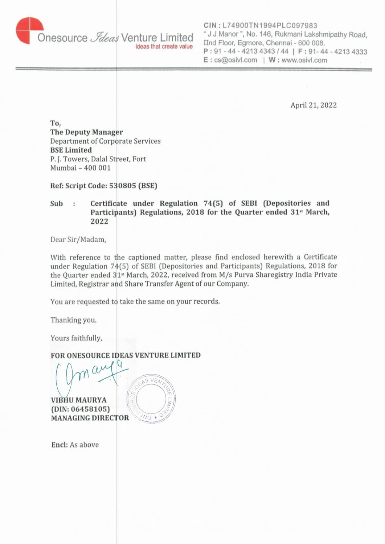

Onesource *Jdeas* Venture Limited " J J Manor ", No. 146, Rukmani Lakshmipathy Road, Ilnd Floor, Egmore, Chennai - 600 008. **P:91-44 - 42134343/44** I **F:91 44 - 42134333 E** : cs@osivl.com I **W** ; www.osivl.com

April 21, 2022

**To, The Deputy Manager**  Department of Corporate Services **BSE Limited**  P. J. Towers, Dalal Street, Fort Mumbai - 400 001

**Ref: Script Code: 530805 (BSE)** 

Sub : Certificate under Regulation 74(5) of SEBI (Depositories and Participants) Regulations, 2018 for the Quarter ended 31<sup>st</sup> March, **2022** 

Dear Sir/Madam,

With reference to the captioned matter, please find enclosed herewith a Certificate under Regulation  $74(5)$  of SEBI (Depositories and Participants) Regulations, 2018 for the Quarter ended  $31<sup>st</sup>$  March, 2022, received from M/s Purva Sharegistry India Private Limited, Registrar and Share Transfer Agent of our Company.

You are requested to take the same on your records.

Thanking you.

Yours faithfully;

**FOR ONESOURCE IDEAS VENTURE LIMITED** 

~ ILI, EN ENTENTEN  $\alpha$  $5VEV$ **VIBHU MAURYA** 

**(DIN: 06458105)**<br>**MANAGING DIRECTOR MANAGING DrRECTOR** -*/.:.~* 

**Encl:** As above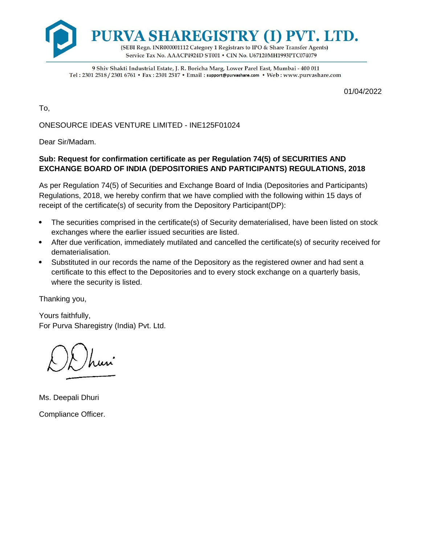

9 Shiv Shakti Industrial Estate, J. R. Boricha Marg, Lower Parel East, Mumbai - 400 011 Tel : 2301 2518 / 2301 6761 • Fax: 2301 2517 • Ema il : support@purvashare.com • Web: www.purvashare.com

01/04/2022

To,

ONESOURCE IDEAS VENTURE LIMITED - INE125F01024

Dear Sir/Madam.

## **Sub: Request for confirmation certificate as per Regulation 74(5) of SECURITIES AND EXCHANGE BOARD OF INDIA (DEPOSITORIES AND PARTICIPANTS) REGULATIONS, 2018**

As per Regulation 74(5) of Securities and Exchange Board of India (Depositories and Participants) Regulations, 2018, we hereby confirm that we have complied with the following within 15 days of receipt of the certificate(s) of security from the Depository Participant(DP):

- The securities comprised in the certificate(s) of Security dematerialised, have been listed on stock exchanges where the earlier issued securities are listed.
- After due verification, immediately mutilated and cancelled the certificate(s) of security received for dematerialisation.
- Substituted in our records the name of the Depository as the registered owner and had sent a certificate to this effect to the Depositories and to every stock exchange on a quarterly basis, where the security is listed.

Thanking you,

Yours faithfully, For Purva Sharegistry (India) Pvt. Ltd.

OD hun

Ms. Deepali Dhuri Compliance Officer.